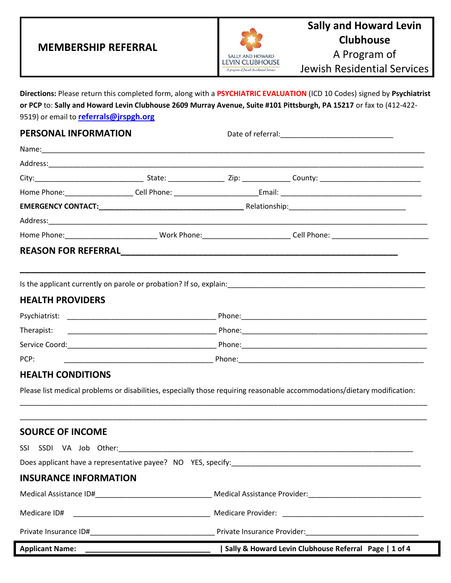### **MEMBERSHIP REFERRAL**



### **Sally and Howard Levin Clubhouse** A Program of

Jewish Residential Services

**Directions:** Please return this completed form, along with a **PSYCHIATRIC EVALUATION** (ICD 10 Codes) signed by **Psychiatrist or PCP** to: **Sally and Howard Levin Clubhouse 2609 Murray Avenue, Suite #101 Pittsburgh, PA 15217** or fax to (412-422- 9519) or email to **[referrals@jrspgh.org](mailto:referrals@jrspgh.org)**

| <b>PERSONAL INFORMATION</b>                                                                   |  |                                                                                                                                                                                                                                  |
|-----------------------------------------------------------------------------------------------|--|----------------------------------------------------------------------------------------------------------------------------------------------------------------------------------------------------------------------------------|
|                                                                                               |  |                                                                                                                                                                                                                                  |
|                                                                                               |  |                                                                                                                                                                                                                                  |
|                                                                                               |  |                                                                                                                                                                                                                                  |
|                                                                                               |  |                                                                                                                                                                                                                                  |
|                                                                                               |  |                                                                                                                                                                                                                                  |
|                                                                                               |  |                                                                                                                                                                                                                                  |
|                                                                                               |  |                                                                                                                                                                                                                                  |
|                                                                                               |  |                                                                                                                                                                                                                                  |
|                                                                                               |  |                                                                                                                                                                                                                                  |
|                                                                                               |  | Is the applicant currently on parole or probation? If so, explain:<br>Superstanding the management of the applicance of the applicance of the applicance of probability of the applicance of the state of the state of the state |
| <b>HEALTH PROVIDERS</b>                                                                       |  |                                                                                                                                                                                                                                  |
|                                                                                               |  |                                                                                                                                                                                                                                  |
| Therapist:                                                                                    |  |                                                                                                                                                                                                                                  |
|                                                                                               |  |                                                                                                                                                                                                                                  |
| PCP:                                                                                          |  |                                                                                                                                                                                                                                  |
| <b>HEALTH CONDITIONS</b>                                                                      |  |                                                                                                                                                                                                                                  |
|                                                                                               |  | Please list medical problems or disabilities, especially those requiring reasonable accommodations/dietary modification:                                                                                                         |
|                                                                                               |  |                                                                                                                                                                                                                                  |
|                                                                                               |  |                                                                                                                                                                                                                                  |
| <b>SOURCE OF INCOME</b>                                                                       |  |                                                                                                                                                                                                                                  |
|                                                                                               |  |                                                                                                                                                                                                                                  |
|                                                                                               |  | Does applicant have a representative payee? NO YES, specify:                                                                                                                                                                     |
| <b>INSURANCE INFORMATION</b>                                                                  |  |                                                                                                                                                                                                                                  |
| $M = \frac{1}{2}$ and $M = \frac{1}{2}$ and $\frac{1}{2}$ and $\frac{1}{2}$ and $\frac{1}{2}$ |  | Marchael Angloteca or Durington                                                                                                                                                                                                  |

| <b>Applicant Name:</b> | Sally & Howard Levin Clubhouse Referral Page   1 of 4 |
|------------------------|-------------------------------------------------------|
| Private Insurance ID#  | Private Insurance Provider:                           |
| Medicare ID#           | Medicare Provider:                                    |
| Medical Assistance ID# | Medical Assistance Provider:                          |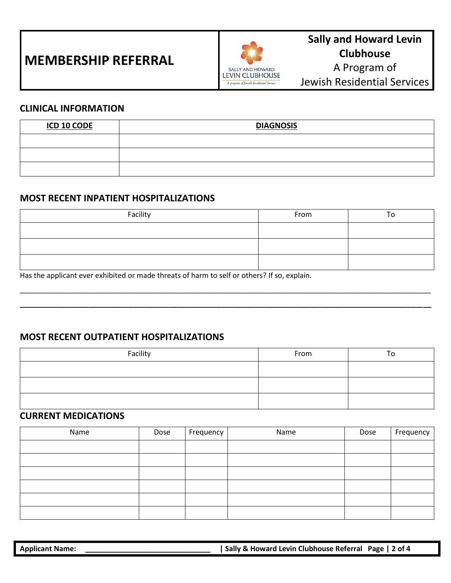## **MEMBERSHIP REFERRAL**



### **Sally and Howard Levin Clubhouse** A Program of Jewish Residential Services

#### **CLINICAL INFORMATION**

| <u>ICD 10 CODE</u> | <b>DIAGNOSIS</b> |
|--------------------|------------------|
|                    |                  |
|                    |                  |
|                    |                  |

#### **MOST RECENT INPATIENT HOSPITALIZATIONS**

| Facility | From |  |
|----------|------|--|
|          |      |  |
|          |      |  |
|          |      |  |

\_\_\_\_\_\_\_\_\_\_\_\_\_\_\_\_\_\_\_\_\_\_\_\_\_\_\_\_\_\_\_\_\_\_\_\_\_\_\_\_\_\_\_\_\_\_\_\_\_\_\_\_\_\_\_\_\_\_\_\_\_\_\_\_\_\_\_\_\_\_\_\_\_\_\_\_\_\_\_\_\_\_\_\_\_\_\_\_\_\_\_\_\_\_\_\_\_\_\_\_\_\_ **\_\_\_\_\_\_\_\_\_\_\_\_\_\_\_\_\_\_\_\_\_\_\_\_\_\_\_\_\_\_\_\_\_\_\_\_\_\_\_\_\_\_\_\_\_\_\_\_\_\_\_\_\_\_\_\_\_\_\_\_\_\_\_\_\_\_\_\_\_\_\_\_\_\_\_\_\_\_\_\_\_\_\_\_\_\_\_\_\_\_\_\_\_\_\_\_\_\_\_\_\_\_**

Has the applicant ever exhibited or made threats of harm to self or others? If so, explain.

#### **MOST RECENT OUTPATIENT HOSPITALIZATIONS**

| Facility | From | ٥ |
|----------|------|---|
|          |      |   |
|          |      |   |
|          |      |   |

#### **CURRENT MEDICATIONS**

| Name | Dose | Frequency | Name | Dose | Frequency |
|------|------|-----------|------|------|-----------|
|      |      |           |      |      |           |
|      |      |           |      |      |           |
|      |      |           |      |      |           |
|      |      |           |      |      |           |
|      |      |           |      |      |           |
|      |      |           |      |      |           |

| <b>Applicant Name:</b> | Sally & Howard Levin Clubhouse Referral Page   2 of 4 |  |
|------------------------|-------------------------------------------------------|--|
|                        |                                                       |  |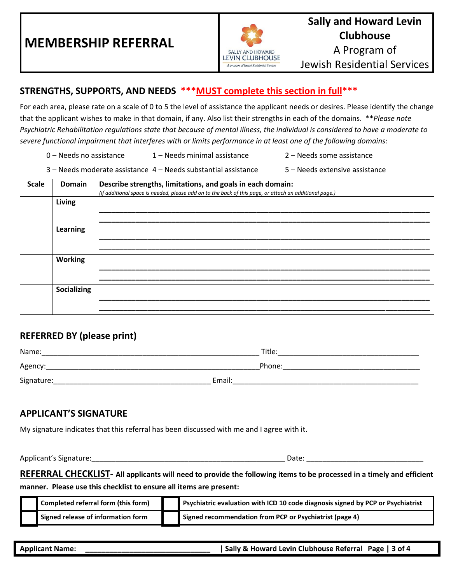

#### **STRENGTHS, SUPPORTS, AND NEEDS \*\*\*MUST complete this section in full\*\*\***

For each area, please rate on a scale of 0 to 5 the level of assistance the applicant needs or desires. Please identify the change that the applicant wishes to make in that domain, if any. Also list their strengths in each of the domains. \*\**Please note Psychiatric Rehabilitation regulations state that because of mental illness, the individual is considered to have a moderate to severe functional impairment that interferes with or limits performance in at least one of the following domains:*

- 0 Needs no assistance 1 Needs minimal assistance 2 Needs some assistance
- 3 Needs moderate assistance 4 Needs substantial assistance 5 Needs extensive assistance

| <b>Scale</b> | <b>Domain</b>   | Describe strengths, limitations, and goals in each domain:<br>(if additional space is needed, please add on to the back of this page, or attach an additional page.) |
|--------------|-----------------|----------------------------------------------------------------------------------------------------------------------------------------------------------------------|
|              | Living          |                                                                                                                                                                      |
|              | <b>Learning</b> |                                                                                                                                                                      |
|              | <b>Working</b>  |                                                                                                                                                                      |
|              | Socializing     |                                                                                                                                                                      |

#### **REFERRED BY (please print)**

| Name:      | Title: |
|------------|--------|
| Agency:    | Phone: |
| Signature: | Email: |

#### **APPLICANT'S SIGNATURE**

My signature indicates that this referral has been discussed with me and I agree with it.

Applicant's Signature:\_\_\_\_\_\_\_\_\_\_\_\_\_\_\_\_\_\_\_\_\_\_\_\_\_\_\_\_\_\_\_\_\_\_\_\_\_\_\_\_\_\_\_\_\_\_\_\_ Date: \_\_\_\_\_\_\_\_\_\_\_\_\_\_\_\_\_\_\_\_\_\_\_\_\_\_\_\_\_

**REFERRAL CHECKLIST- All applicants will need to provide the following items to be processed in a timely and efficient manner. Please use this checklist to ensure all items are present:**

| Completed referral form (this form) | Psychiatric evaluation with ICD 10 code diagnosis signed by PCP or Psychiatrist |
|-------------------------------------|---------------------------------------------------------------------------------|
| Signed release of information form  | Signed recommendation from PCP or Psychiatrist (page 4)                         |

| <b>Applicant Name:</b> | Sally & Howard Levin Clubhouse Referral Page   3 of 4 |
|------------------------|-------------------------------------------------------|
|------------------------|-------------------------------------------------------|